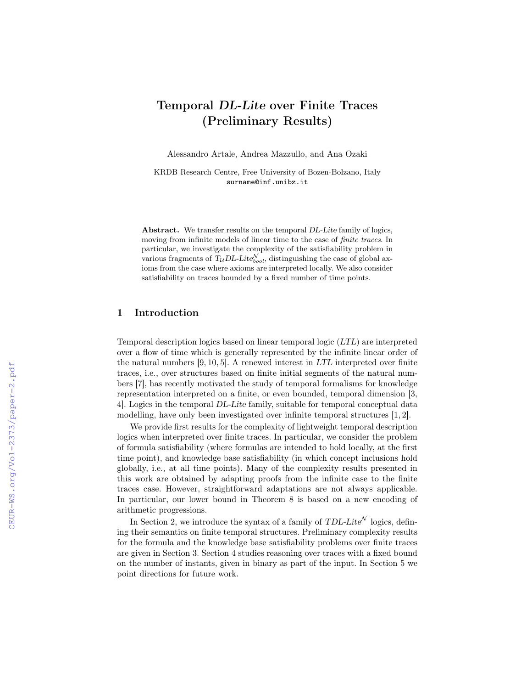# Temporal DL-Lite over Finite Traces (Preliminary Results)

Alessandro Artale, Andrea Mazzullo, and Ana Ozaki

KRDB Research Centre, Free University of Bozen-Bolzano, Italy surname@inf.unibz.it

Abstract. We transfer results on the temporal DL-Lite family of logics, moving from infinite models of linear time to the case of finite traces. In particular, we investigate the complexity of the satisfiability problem in various fragments of  $T_{\mathcal{U}} D L$ -Lite $_{bool}^{\mathcal{N}}$ , distinguishing the case of global axioms from the case where axioms are interpreted locally. We also consider satisfiability on traces bounded by a fixed number of time points.

#### 1 Introduction

Temporal description logics based on linear temporal logic (LTL) are interpreted over a flow of time which is generally represented by the infinite linear order of the natural numbers [9, 10, 5]. A renewed interest in LTL interpreted over finite traces, i.e., over structures based on finite initial segments of the natural numbers [7], has recently motivated the study of temporal formalisms for knowledge representation interpreted on a finite, or even bounded, temporal dimension [3, 4]. Logics in the temporal DL-Lite family, suitable for temporal conceptual data modelling, have only been investigated over infinite temporal structures [1, 2].

We provide first results for the complexity of lightweight temporal description logics when interpreted over finite traces. In particular, we consider the problem of formula satisfiability (where formulas are intended to hold locally, at the first time point), and knowledge base satisfiability (in which concept inclusions hold globally, i.e., at all time points). Many of the complexity results presented in this work are obtained by adapting proofs from the infinite case to the finite traces case. However, straightforward adaptations are not always applicable. In particular, our lower bound in Theorem 8 is based on a new encoding of arithmetic progressions.

In Section 2, we introduce the syntax of a family of  $TDL\text{-}Life^{\mathcal{N}}$  logics, defining their semantics on finite temporal structures. Preliminary complexity results for the formula and the knowledge base satisfiability problems over finite traces are given in Section 3. Section 4 studies reasoning over traces with a fixed bound on the number of instants, given in binary as part of the input. In Section 5 we point directions for future work.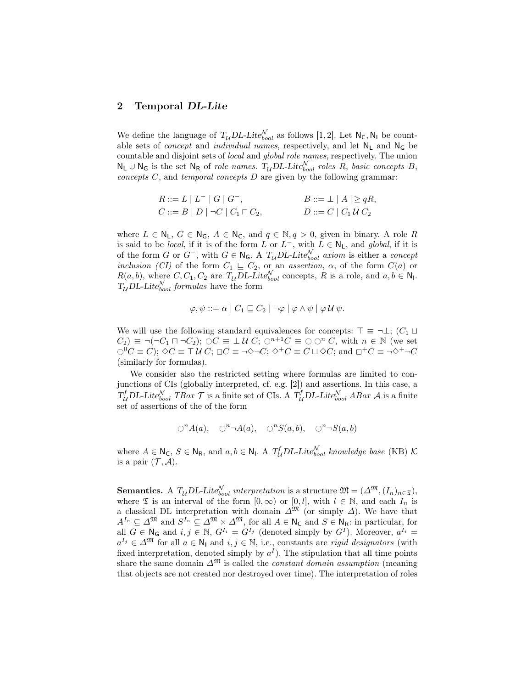#### 2 Temporal DL-Lite

We define the language of  $T_{\mathcal{U}} D L$ -Lite $_{bool}^{\mathcal{N}}$  as follows [1, 2]. Let  $N_{\mathsf{C}}$ ,  $N_{\mathsf{I}}$  be countable sets of *concept* and *individual names*, respectively, and let  $N_L$  and  $N_G$  be countable and disjoint sets of local and global role names, respectively. The union  $N_L \cup N_G$  is the set  $N_R$  of *role names.*  $T_{\mathcal{U}} D L$ -Lite $_{bool}^{\mathcal{N}}$  roles R, basic concepts B, concepts  $C$ , and temporal concepts  $D$  are given by the following grammar:

$$
R ::= L | L^- | G | G^-, \qquad B ::= \perp | A | \geq qR, C ::= B | D | \neg C | C_1 \sqcap C_2, \qquad D ::= C | C_1 U C_2
$$

where  $L \in \mathbb{N}_\mathsf{L}$ ,  $G \in \mathbb{N}_\mathsf{G}$ ,  $A \in \mathbb{N}_\mathsf{C}$ , and  $q \in \mathbb{N}$ ,  $q > 0$ , given in binary. A role R is said to be *local*, if it is of the form L or  $L^-$ , with  $L \in \mathsf{N}_\mathsf{L}$ , and *global*, if it is of the form G or  $G^-$ , with  $G \in \mathbb{N}_G$ . A  $T_{\mathcal{U}}$ DL-Lite $_{bool}^{\mathcal{N}}$  axiom is either a concept inclusion (CI) of the form  $C_1 \subseteq C_2$ , or an assertion,  $\alpha$ , of the form  $C(a)$  or  $R(a, b)$ , where  $C, C_1, C_2$  are  $T_u DL\text{-}Lite_{bool}^{\mathcal{N}}$  concepts, R is a role, and  $a, b \in \mathbb{N}_1$ .  $T_{\mathcal{U}}$ DL-Lite<sub>bool</sub> formulas have the form

$$
\varphi, \psi ::= \alpha \mid C_1 \sqsubseteq C_2 \mid \neg \varphi \mid \varphi \land \psi \mid \varphi \mathcal{U} \psi.
$$

We will use the following standard equivalences for concepts:  $\top \equiv \neg \bot$ ;  $(C_1 \sqcup$  $C_2$ )  $\equiv \neg(\neg C_1 \sqcap \neg C_2)$ ;  $\bigcirc C \equiv \perp U C$ ;  $\bigcirc^{n+1}C \equiv \bigcirc \bigcirc^n C$ , with  $n \in \mathbb{N}$  (we set  $\bigcirc^0 C \equiv C$ ;  $\Diamond C \equiv \top U C$ ;  $\Box C \equiv \neg \Diamond \neg C$ ;  $\Diamond^+ C \equiv C \sqcup \Diamond C$ ; and  $\Box^+ C \equiv \neg \Diamond^+ \neg C$ (similarly for formulas).

We consider also the restricted setting where formulas are limited to conjunctions of CIs (globally interpreted, cf. e.g. [2]) and assertions. In this case, a  $T_{\mathcal{U}}^fDL\text{-}Lite_{bool}^{\mathcal{N}}$  TBox  $\mathcal{T}$  is a finite set of CIs. A  $T_{\mathcal{U}}^fDL\text{-}Lite_{bool}^{\mathcal{N}}$  ABox  $\mathcal{A}$  is a finite set of assertions of the of the form

$$
\bigcirc^n A(a), \quad \bigcirc^n \neg A(a), \quad \bigcirc^n S(a,b), \quad \bigcirc^n \neg S(a,b)
$$

where  $A \in \mathsf{N}_{\mathsf{C}}$ ,  $S \in \mathsf{N}_{\mathsf{R}}$ , and  $a, b \in \mathsf{N}_{\mathsf{I}}$ . A  $T_{\mathcal{U}}^fDL\text{-}Lite_{bool}^{\mathcal{N}}$  knowledge base (KB)  $\mathcal{K}$ is a pair  $(\mathcal{T}, \mathcal{A})$ .

**Semantics.** A  $T_{\mathcal{U}}$  DL-Lite<sup>N</sup><sub>bool</sub> interpretation is a structure  $\mathfrak{M} = (\Delta^{\mathfrak{M}}, (I_n)_{n \in \mathfrak{T}})$ , where  $\mathfrak T$  is an interval of the form  $[0,\infty)$  or  $[0,l]$ , with  $l \in \mathbb N$ , and each  $I_n$  is a classical DL interpretation with domain  $\Delta^{\mathfrak{M}}$  (or simply  $\Delta$ ). We have that  $A^{I_n} \subseteq \Delta^{\mathfrak{M}}$  and  $S^{I_n} \subseteq \Delta^{\mathfrak{M}} \times \Delta^{\mathfrak{M}}$ , for all  $A \in \mathsf{N}_{\mathsf{C}}$  and  $S \in \mathsf{N}_{\mathsf{R}}$ : in particular, for all  $G \in \mathbb{N}_G$  and  $i, j \in \mathbb{N}$ ,  $G^{I_i} = G^{I_j}$  (denoted simply by  $G^I$ ). Moreover,  $a^{I_i} =$  $a^{I_j} \in \Delta^{\mathfrak{M}}$  for all  $a \in \mathsf{N}_1$  and  $i, j \in \mathbb{N}$ , i.e., constants are *rigid designators* (with fixed interpretation, denoted simply by  $a<sup>I</sup>$ ). The stipulation that all time points share the same domain  $\Delta^{\mathfrak{M}}$  is called the *constant domain assumption* (meaning that objects are not created nor destroyed over time). The interpretation of roles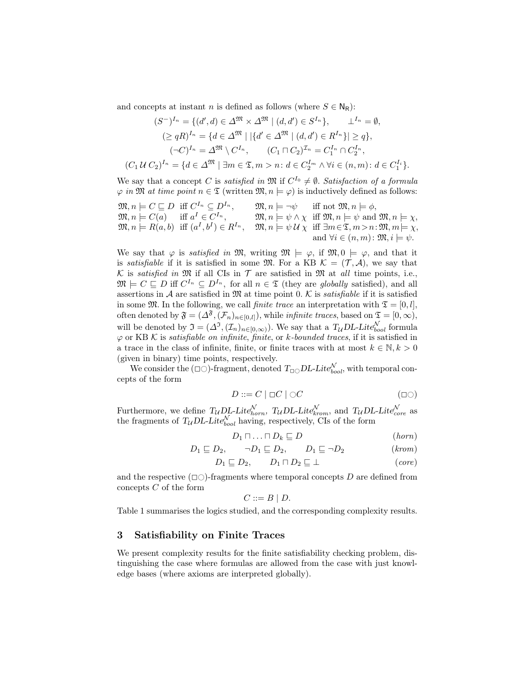and concepts at instant n is defined as follows (where  $S \in N_R$ ):

$$
(S^{-})^{I_{n}} = \{ (d', d) \in \Delta^{\mathfrak{M}} \times \Delta^{\mathfrak{M}} \mid (d, d') \in S^{I_{n}} \}, \qquad \perp^{I_{n}} = \emptyset,
$$
  
\n
$$
(\geq qR)^{I_{n}} = \{ d \in \Delta^{\mathfrak{M}} \mid |\{ d' \in \Delta^{\mathfrak{M}} \mid (d, d') \in R^{I_{n}} \}| \geq q \},
$$
  
\n
$$
(\neg C)^{I_{n}} = \Delta^{\mathfrak{M}} \setminus C^{I_{n}}, \qquad (C_{1} \sqcap C_{2})^{I_{n}} = C_{1}^{I_{n}} \cap C_{2}^{I_{n}},
$$
  
\n
$$
(C_{1} \cup C_{2})^{I_{n}} = \{ d \in \Delta^{\mathfrak{M}} \mid \exists m \in \mathfrak{X}, m > n : d \in C_{2}^{I_{m}} \land \forall i \in (n, m) : d \in C_{1}^{I_{i}} \}.
$$

We say that a concept C is satisfied in  $\mathfrak{M}$  if  $C^{I_0} \neq \emptyset$ . Satisfaction of a formula  $\varphi$  in M at time point  $n \in \mathfrak{T}$  (written  $\mathfrak{M}, n \models \varphi$ ) is inductively defined as follows:

$$
\mathfrak{M}, n \models C \sqsubseteq D \text{ iff } C^{I_n} \subseteq D^{I_n}, \qquad \mathfrak{M}, n \models \neg \psi \text{ iff not } \mathfrak{M}, n \models \phi, \mathfrak{M}, n \models C(a) \text{ iff } a^I \in C^{I_n}, \qquad \mathfrak{M}, n \models \psi \land \chi \text{ iff } \mathfrak{M}, n \models \psi \text{ and } \mathfrak{M}, n \models \chi, \mathfrak{M}, n \models R(a, b) \text{ iff } (a^I, b^I) \in R^{I_n}, \qquad \mathfrak{M}, n \models \psi \mathcal{U} \chi \text{ iff } \exists m \in \mathfrak{T}, m > n : \mathfrak{M}, m \models \chi, \text{and } \forall i \in (n, m) : \mathfrak{M}, i \models \psi.
$$

We say that  $\varphi$  is *satisfied in* M, writing  $\mathfrak{M} \models \varphi$ , if  $\mathfrak{M}, 0 \models \varphi$ , and that it is satisfiable if it is satisfied in some  $\mathfrak{M}$ . For a KB  $\mathcal{K} = (\mathcal{T}, \mathcal{A})$ , we say that K is satisfied in  $\mathfrak M$  if all CIs in  $\mathcal T$  are satisfied in  $\mathfrak M$  at all time points, i.e.,  $\mathfrak{M} \models C \sqsubseteq D$  iff  $C^{I_n} \subseteq D^{I_n}$ , for all  $n \in \mathfrak{T}$  (they are globally satisfied), and all assertions in A are satisfied in  $\mathfrak{M}$  at time point 0. K is *satisfiable* if it is satisfied in some  $\mathfrak{M}$ . In the following, we call *finite trace* an interpretation with  $\mathfrak{T} = [0, l],$ often denoted by  $\mathfrak{F} = (\Delta^{\mathfrak{F}}, (\mathcal{F}_n)_{n \in [0,l]}),$  while *infinite traces*, based on  $\mathfrak{T} = [0, \infty),$ will be denoted by  $\mathfrak{I} = (\Delta^{\mathfrak{I}}, (\mathcal{I}_n)_{n \in [0,\infty)})$ . We say that a  $T_{\mathcal{U}}DL\text{-}Lite_{bool}^{\mathcal{N}}$  formula  $\varphi$  or KB K is satisfiable on infinite, finite, or k-bounded traces, if it is satisfied in a trace in the class of infinite, finite, or finite traces with at most  $k \in \mathbb{N}, k > 0$ (given in binary) time points, respectively.

We consider the  $(\Box \bigcirc)$ -fragment, denoted  $T_{\Box \bigcirc}DL\text{-}Lie^{\mathcal{N}}_{bool}$ , with temporal concepts of the form

$$
D ::= C \mid \Box C \mid \bigcirc C \tag{ } \Box C \tag{}
$$

Furthermore, we define  $T_{\mathcal{U}} D_{\mathcal{L}}^{\mathcal{L}}$ -Lite $_{horn}^{\mathcal{N}}$ ,  $T_{\mathcal{U}} D_{\mathcal{L}}$ -Lite $_{krom}^{\mathcal{N}}$ , and  $T_{\mathcal{U}} D_{\mathcal{L}}$ -Lite $_{core}^{\mathcal{N}}$  as the fragments of  $T_{\mathcal{U}} D L$ -Lite $_{bool}^{\mathcal{N}}$  having, respectively, CIs of the form

$$
D_1 \sqcap \ldots \sqcap D_k \sqsubseteq D \qquad \qquad (horn)
$$

$$
D_1 \sqsubseteq D_2, \qquad \neg D_1 \sqsubseteq D_2, \qquad D_1 \sqsubseteq \neg D_2 \qquad \qquad (krom)
$$

$$
D_1 \sqsubseteq D_2, \qquad D_1 \sqcap D_2 \sqsubseteq \bot \qquad \qquad (core)
$$

and the respective  $(\Box \bigcirc)$ -fragments where temporal concepts D are defined from concepts  $C$  of the form

$$
C ::= B | D.
$$

Table 1 summarises the logics studied, and the corresponding complexity results.

#### 3 Satisfiability on Finite Traces

We present complexity results for the finite satisfiability checking problem, distinguishing the case where formulas are allowed from the case with just knowledge bases (where axioms are interpreted globally).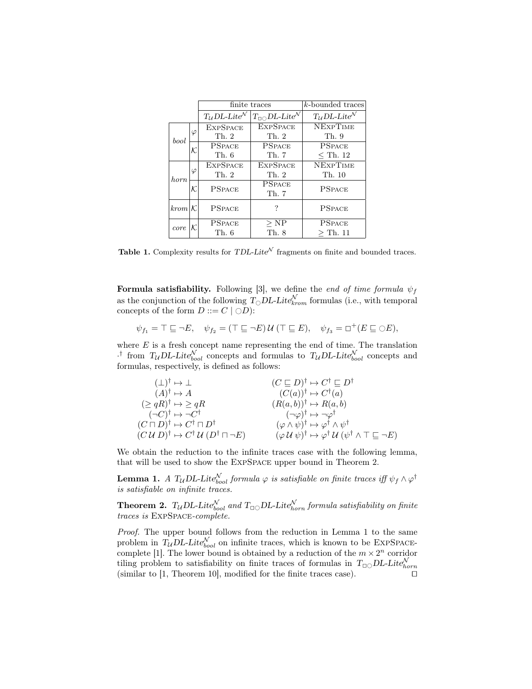|             |           | finite traces                          |                                                | k-bounded traces                       |
|-------------|-----------|----------------------------------------|------------------------------------------------|----------------------------------------|
|             |           | $T_{\mathcal{U}}$ DL-Lite <sup>N</sup> | $T_{\Box\bigcirc}DL\text{-}Lite^{\mathcal{N}}$ | $T_{\mathcal{U}}$ DL-Lite <sup>N</sup> |
| bool        | $\varphi$ | <b>EXPSPACE</b>                        | <b>EXPSPACE</b>                                | <b>NEXPTIME</b>                        |
|             |           | Th.2                                   | Th. 2                                          | Th. 9                                  |
|             | K.        | <b>PSPACE</b>                          | <b>PSPACE</b>                                  | <b>PSPACE</b>                          |
|             |           | Th. 6                                  | Th. 7                                          | $<$ Th. 12                             |
| <i>horn</i> | φ         | <b>EXPSPACE</b>                        | <b>EXPSPACE</b>                                | <b>NEXPTIME</b>                        |
|             |           | Th. 2                                  | Th. 2                                          | Th. 10                                 |
|             | К.        | <b>PSPACE</b>                          | <b>PSPACE</b><br>Th. 7                         | <b>PSPACE</b>                          |
| $krom$   K  |           | <b>PSPACE</b>                          | ?                                              | <b>PSPACE</b>                          |
| core        |           | <b>PSPACE</b>                          | $>$ NP                                         | <b>PSPACE</b>                          |
|             |           | Th. 6                                  | Th. 8                                          | $>$ Th. 11                             |

Table 1. Complexity results for TDL-Lite<sup> $N$ </sup> fragments on finite and bounded traces.

Formula satisfiability. Following [3], we define the end of time formula  $\psi_f$ as the conjunction of the following  $T_{\bigcirc} DL\text{-}Lite_{krom}^{\mathcal{N}}$  formulas (i.e., with temporal concepts of the form  $D ::= C \mid \bigcirc D$ :

$$
\psi_{f_1} = \top \sqsubseteq \neg E, \quad \psi_{f_2} = (\top \sqsubseteq \neg E) \mathcal{U} (\top \sqsubseteq E), \quad \psi_{f_3} = \Box^+(E \sqsubseteq \bigcirc E),
$$

where  $E$  is a fresh concept name representing the end of time. The translation <sup>†</sup> from  $T_{\mathcal{U}}$ DL-Lite $_{bool}^{\mathcal{N}}$  concepts and formulas to  $T_{\mathcal{U}}$ DL-Lite $_{bool}^{\mathcal{N}}$  concepts and formulas, respectively, is defined as follows:

| $(\perp)^{\dagger} \mapsto \perp$                                    | $(C \sqsubseteq D)^{\dagger} \mapsto C^{\dagger} \sqsubseteq D^{\dagger}$                                                    |
|----------------------------------------------------------------------|------------------------------------------------------------------------------------------------------------------------------|
| $(A)^{\dagger} \mapsto A$                                            | $(C(a))^\dagger \mapsto C^\dagger(a)$                                                                                        |
| $(\geq qR)^{\dagger} \mapsto \geq qR$                                | $(R(a, b))^\dagger \mapsto R(a, b)$                                                                                          |
| $(\neg C)^{\dagger} \mapsto \neg C^{\dagger}$                        | $(\neg\varphi)^\dagger \mapsto \neg\varphi^\dagger$                                                                          |
| $(C\sqcap D)^{\dagger} \mapsto C^{\dagger} \sqcap D^{\dagger}$       | $(\varphi \wedge \psi)^{\dagger} \mapsto \varphi^{\dagger} \wedge \psi^{\dagger}$                                            |
| $(CU D)^{\dagger} \mapsto C^{\dagger} U (D^{\dagger} \sqcap \neg E)$ | $(\varphi \mathcal{U} \psi)^{\dagger} \mapsto \varphi^{\dagger} \mathcal{U} (\psi^{\dagger} \wedge \top \sqsubseteq \neg E)$ |

We obtain the reduction to the infinite traces case with the following lemma, that will be used to show the ExpSpace upper bound in Theorem 2.

**Lemma 1.** A  $T_{\mathcal{U}}$ DL-Lite $_{bool}^{\mathcal{N}}$  formula  $\varphi$  is satisfiable on finite traces iff  $\psi_f \wedge \varphi^{\dagger}$ is satisfiable on infinite traces.

**Theorem 2.**  $T_{\mathcal{U}}$  DL-Lite<sub>bool</sub> and  $T_{\Box\bigcirc}$  DL-Lite<sub>horn</sub> formula satisfiability on finite traces is ExpSpace-complete.

Proof. The upper bound follows from the reduction in Lemma 1 to the same problem in  $T_{\mathcal{U}} D L$ -Lite $_{bool}^{\mathcal{N}}$  on infinite traces, which is known to be EXPSPACEcomplete [1]. The lower bound is obtained by a reduction of the  $m \times 2^n$  corridor tiling problem to satisfiability on finite traces of formulas in  $T_{\Box\bigcirc}DL\text{-}Lite_{horn}^{\mathcal{N}}$ (similar to [1, Theorem 10], modified for the finite traces case).  $\square$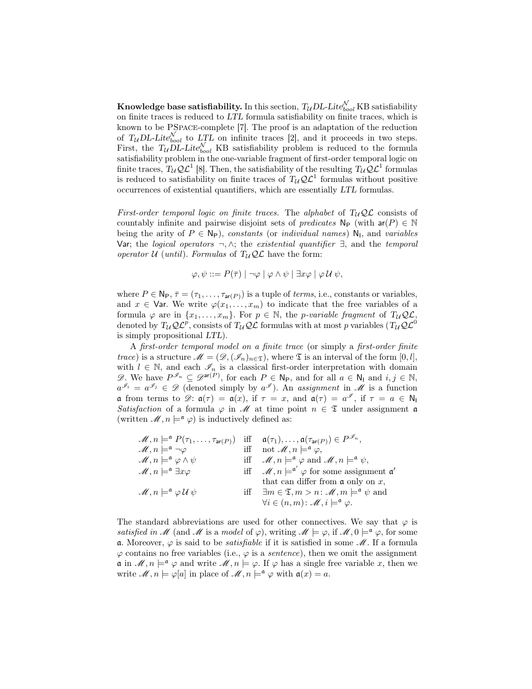**Knowledge base satisfiability.** In this section,  $T_{\mathcal{U}} D L\text{-} {Lit{e}}_{bool}^{\mathcal{N}}$  KB satisfiability on finite traces is reduced to LTL formula satisfiability on finite traces, which is known to be PSpace-complete [7]. The proof is an adaptation of the reduction of  $T_{\mathcal{U}} D L$ -Lite $_{bool}^{\mathcal{N}}$  to LTL on infinite traces [2], and it proceeds in two steps. First, the  $T_{\mathcal{U}}\overline{\mathcal{D}} L$ -Lite $_{bool}^{\mathcal{N}}$  KB satisfiability problem is reduced to the formula satisfiability problem in the one-variable fragment of first-order temporal logic on finite traces,  $T_{\mathcal{U}}\mathcal{Q}\mathcal{L}^1$  [8]. Then, the satisfiability of the resulting  $T_{\mathcal{U}}\mathcal{Q}\mathcal{L}^1$  formulas is reduced to satisfiability on finite traces of  $T_{\mathcal{U}}\mathcal{Q}\mathcal{L}^1$  formulas without positive occurrences of existential quantifiers, which are essentially LTL formulas.

First-order temporal logic on finite traces. The alphabet of  $T_{\mathcal{U}}\mathcal{Q}\mathcal{L}$  consists of countably infinite and pairwise disjoint sets of predicates  $\mathsf{N}_{\mathsf{P}}$  (with  $\mathsf{ar}(P) \in \mathbb{N}$ being the arity of  $P \in \mathsf{N}_{\mathsf{P}}$ ), constants (or *individual names*)  $\mathsf{N}_{\mathsf{I}}$ , and *variables* Var; the *logical operators* ¬,  $\wedge$ ; the *existential quantifier*  $\exists$ , and the *temporal* operator U (until). Formulas of  $T_{\mathcal{U}}\mathcal{Q}\mathcal{L}$  have the form:

$$
\varphi, \psi ::= P(\overline{\tau}) \mid \neg \varphi \mid \varphi \land \psi \mid \exists x \varphi \mid \varphi \mathcal{U} \psi,
$$

where  $P \in \mathsf{N}_{\mathsf{P}}, \bar{\tau} = (\tau_1, \ldots, \tau_{\mathsf{ar}(P)})$  is a tuple of *terms*, i.e., constants or variables, and  $x \in \mathsf{Var}$ . We write  $\varphi(x_1, \ldots, x_m)$  to indicate that the free variables of a formula  $\varphi$  are in  $\{x_1, \ldots, x_m\}$ . For  $p \in \mathbb{N}$ , the *p-variable fragment* of  $T_{\mathcal{U}}\mathcal{Q}\mathcal{L}$ , denoted by  $T_{\mathcal{U}}\mathcal{Q} \mathcal{L}^p$ , consists of  $T_{\mathcal{U}}\mathcal{Q} \mathcal{L}$  formulas with at most p variables  $(T_{\mathcal{U}}\mathcal{Q} \mathcal{L}^0)$ is simply propositional LTL).

A first-order temporal model on a finite trace (or simply a first-order finite *trace*) is a structure  $\mathcal{M} = (\mathcal{D}, (\mathcal{I}_n)_{n \in \mathfrak{T}})$ , where  $\mathfrak{T}$  is an interval of the form  $[0, l]$ , with  $l \in \mathbb{N}$ , and each  $\mathscr{I}_n$  is a classical first-order interpretation with domain  $\mathscr{D}$ . We have  $P^{\mathscr{I}_n} \subseteq \mathscr{D}^{\mathsf{ar}(P)}$ , for each  $P \in \mathsf{N}_{\mathsf{P}}$ , and for all  $a \in \mathsf{N}_{\mathsf{I}}$  and  $i, j \in \mathbb{N}$ ,  $a^{\mathscr{I}_i} = a^{\mathscr{I}_j} \in \mathscr{D}$  (denoted simply by  $a^{\mathscr{I}}$ ). An assignment in M is a function **a** from terms to  $\mathscr{D}$ :  $\mathfrak{a}(\tau) = \mathfrak{a}(x)$ , if  $\tau = x$ , and  $\mathfrak{a}(\tau) = a^{\mathscr{I}}$ , if  $\tau = a \in \mathbb{N}_1$ Satisfaction of a formula  $\varphi$  in  $\mathscr M$  at time point  $n \in \mathfrak T$  under assignment  $\mathfrak a$ (written  $\mathcal{M}, n \models^{\mathfrak{a}} \varphi$ ) is inductively defined as:

| $\mathscr{M}, n \models^{\mathfrak{a}} P(\tau_1, \ldots, \tau_{\mathsf{ar}(P)})$ | iff $\mathfrak{a}(\tau_1), \ldots, \mathfrak{a}(\tau_{\mathsf{ar}(P)}) \in P^{\mathscr{I}_n},$         |
|----------------------------------------------------------------------------------|--------------------------------------------------------------------------------------------------------|
| $\mathscr{M}, n \models^{\mathfrak{a}} \neg \varphi$                             | iff not $\mathscr{M}, n \models^{\mathfrak{a}} \varphi$ ,                                              |
| $\mathscr{M}, n \models^{\mathfrak{a}} \varphi \wedge \psi$                      | iff $\mathscr{M}, n \models^{\mathfrak{a}} \varphi$ and $\mathscr{M}, n \models^{\mathfrak{a}} \psi$ , |
| $\mathscr{M}, n \models^{\mathfrak{a}} \exists x \varphi$                        | iff $\mathscr{M}, n \models^{\mathfrak{a}'} \varphi$ for some assignment $\mathfrak{a}'$               |
|                                                                                  | that can differ from $\mathfrak a$ only on $x$ ,                                                       |
| $\mathscr{M}, n \models^{\mathfrak{a}} \varphi \mathscr{U} \psi$                 | iff $\exists m \in \mathfrak{T}, m > n : \mathcal{M}, m \models^{\mathfrak{a}} \psi$ and               |
|                                                                                  | $\forall i \in (n, m) : \mathscr{M}, i \models^{\mathfrak{a}} \varphi.$                                |

The standard abbreviations are used for other connectives. We say that  $\varphi$  is satisfied in M (and M is a model of  $\varphi$ ), writing  $M \models \varphi$ , if  $M, 0 \models^{\mathfrak{a}} \varphi$ , for some **a.** Moreover,  $\varphi$  is said to be *satisfiable* if it is satisfied in some  $\mathcal{M}$ . If a formula  $\varphi$  contains no free variables (i.e.,  $\varphi$  is a *sentence*), then we omit the assignment  $\mathfrak{a}$  in  $\mathscr{M}, n \models^{\mathfrak{a}} \varphi$  and write  $\mathscr{M}, n \models \varphi$ . If  $\varphi$  has a single free variable x, then we write  $\mathscr{M}, n \models \varphi[a]$  in place of  $\mathscr{M}, n \models^{\mathfrak{a}} \varphi$  with  $\mathfrak{a}(x) = a$ .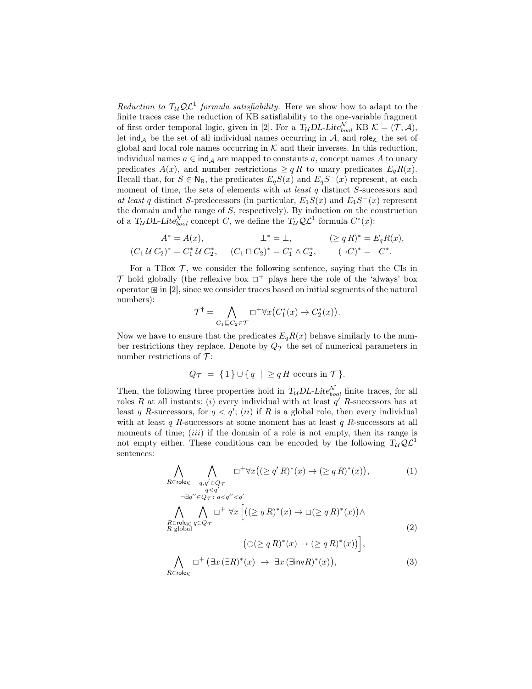Reduction to  $T_{\mathcal{U}}\mathcal{Q}\mathcal{L}^1$  formula satisfiability. Here we show how to adapt to the finite traces case the reduction of KB satisfiability to the one-variable fragment of first order temporal logic, given in [2]. For a  $T_{\mathcal{U}} D L$ -Lite $_{bool}^{\mathcal{N}}$  KB  $\mathcal{K} = (\mathcal{T}, \mathcal{A}),$ let ind<sub>A</sub> be the set of all individual names occurring in A, and role<sub>K</sub> the set of global and local role names occurring in  $K$  and their inverses. In this reduction, individual names  $a \in \text{ind}_{\mathcal{A}}$  are mapped to constants a, concept names A to unary predicates  $A(x)$ , and number restrictions  $\ge q R$  to unary predicates  $E_q R(x)$ . Recall that, for  $S \in N_R$ , the predicates  $E_qS(x)$  and  $E_qS^{-}(x)$  represent, at each moment of time, the sets of elements with at least  $q$  distinct  $S$ -successors and at least q distinct S-predecessors (in particular,  $E_1S(x)$  and  $E_1S^{-}(x)$  represent the domain and the range of  $S$ , respectively). By induction on the construction of a  $T_{\mathcal{U}} D L$ -Lite $_{bool}^{\mathcal{N}}$  concept C, we define the  $T_{\mathcal{U}} \mathcal{Q} \mathcal{L}^1$  formula  $C^*(x)$ :

$$
A^* = A(x), \qquad \perp^* = \perp, \qquad (\geq qR)^* = E_q R(x),
$$
  

$$
(C_1 U C_2)^* = C_1^* U C_2^*, \qquad (C_1 \sqcap C_2)^* = C_1^* \wedge C_2^*, \qquad (\neg C)^* = \neg C^*.
$$

For a TBox  $\mathcal{T}$ , we consider the following sentence, saying that the CIs in  $\mathcal T$  hold globally (the reflexive box  $\Box^+$  plays here the role of the 'always' box operator  $\mathbb{E}$  in [2], since we consider traces based on initial segments of the natural numbers):

$$
\mathcal{T}^{\dagger} = \bigwedge_{C_1 \sqsubseteq C_2 \in \mathcal{T}} \Box^+ \forall x \big( C_1^*(x) \to C_2^*(x) \big).
$$

Now we have to ensure that the predicates  $E_qR(x)$  behave similarly to the number restrictions they replace. Denote by  $Q_{\mathcal{T}}$  the set of numerical parameters in number restrictions of  $\mathcal{T}$ :

$$
Q_{\mathcal{T}} = \{1\} \cup \{q \mid \geq q \, H \text{ occurs in } \mathcal{T}\}.
$$

Then, the following three properties hold in  $T_{\mathcal{U}} D L$ -Lite $_{bool}^{\mathcal{N}}$  finite traces, for all roles R at all instants: (i) every individual with at least  $q'$  R-successors has at least q R-successors, for  $q < q'$ ; (ii) if R is a global role, then every individual with at least  $q$  R-successors at some moment has at least  $q$  R-successors at all moments of time;  $(iii)$  if the domain of a role is not empty, then its range is not empty either. These conditions can be encoded by the following  $T_{\mathcal{U}}\mathcal{Q}\mathcal{L}^1$ sentences:

$$
\bigwedge_{R \in \text{role}_{\mathcal{K}}} \bigwedge_{\substack{q, q' \in Q_{\mathcal{T}} \\ q < q'}} \Box^+ \forall x \big( (\ge q' R)^*(x) \to (\ge q R)^*(x) \big), \tag{1}
$$

$$
\neg \exists q'' \in Q_{\mathcal{T}} : q < q'' < q' \land \neg \exists q \in Q_{\mathcal{T}} \land \Box^{+} \forall x \left[ \left( (\geq q R)^{*}(x) \to \Box (\geq q R)^{*}(x) \right) \land \right] \land \neg \exists q \in Q_{\mathcal{T}} \right]
$$
\n
$$
\left( \bigcap (\geq q R)^{*}(x) \to (\geq q R)^{*}(x) \right) \land \tag{2}
$$

$$
\left(\bigcirc(\geq q R)^*(x)\to(\geq q R)^*(x)\right)\right],
$$
  

$$
\bigwedge_{R\in\mathsf{role}_\mathcal{K}}\Box^+\left(\exists x\,(\exists R)^*(x)\to\exists x\,(\exists \mathsf{inv} R)^*(x)\right),\tag{3}
$$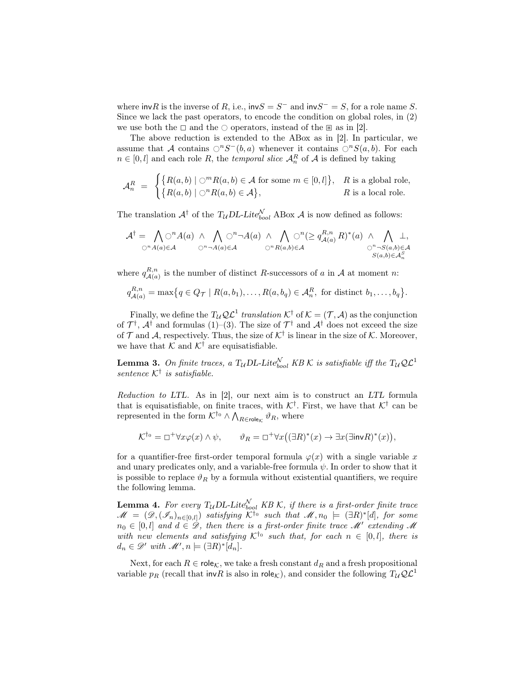where invR is the inverse of R, i.e.,  $invS = S^-$  and  $invS^- = S$ , for a role name S. Since we lack the past operators, to encode the condition on global roles, in (2) we use both the  $\Box$  and the  $\Diamond$  operators, instead of the  $\mathbb B$  as in [2].

The above reduction is extended to the ABox as in [2]. In particular, we assume that A contains  $\bigcirc^n S^-(b, a)$  whenever it contains  $\bigcirc^n S(a, b)$ . For each  $n \in [0, l]$  and each role R, the *temporal slice*  $\mathcal{A}_n^R$  of A is defined by taking

$$
\mathcal{A}_n^R = \begin{cases} \{ R(a,b) \mid \bigcirc^m R(a,b) \in \mathcal{A} \text{ for some } m \in [0,l] \}, & R \text{ is a global role,} \\ \{ R(a,b) \mid \bigcirc^n R(a,b) \in \mathcal{A} \}, & R \text{ is a local role.} \end{cases}
$$

The translation  $A^{\dagger}$  of the  $T_{\mathcal{U}}$ DL-Lite<sub>bool</sub> ABox A is now defined as follows:

$$
\mathcal{A}^{\dagger} = \bigwedge_{\bigcirc^{n} A(a) \in \mathcal{A}} \bigcirc^{n} A(a) \land \bigwedge_{\bigcirc^{n} \neg A(a) \in \mathcal{A}} \bigcirc^{n} A(a) \land \bigwedge_{\bigcirc^{n} R(a,b) \in \mathcal{A}} \bigcirc^{n} (\geq q_{\mathcal{A}(a)}^{R,n} R)^{*}(a) \land \bigwedge_{\bigcirc^{n} \neg S(a,b) \in \mathcal{A}} \perp,
$$
  

$$
\bigcirc^{n} A(a) \in \mathcal{A} \qquad \bigcirc^{n} A(a) \in \mathcal{A} \qquad \bigcirc^{n} R(a,b) \in \mathcal{A} \qquad \bigcirc^{n} S(a,b) \in \mathcal{A}^{S}_{n}
$$

where  $q_{A(a)}^{R,n}$  $A_{(a)}^{R,n}$  is the number of distinct R-successors of a in A at moment n:

$$
q_{\mathcal{A}(a)}^{R,n} = \max\bigl\{q \in Q_{\mathcal{T}} \mid R(a,b_1),\ldots,R(a,b_q) \in \mathcal{A}_n^R, \text{ for distinct } b_1,\ldots,b_q\bigr\}.
$$

Finally, we define the  $T_{\mathcal{U}}\mathcal{Q}\mathcal{L}^1$  translation  $\mathcal{K}^{\dagger}$  of  $\mathcal{K} = (\mathcal{T}, \mathcal{A})$  as the conjunction of  $\mathcal{T}^{\dagger}$ ,  $\mathcal{A}^{\dagger}$  and formulas (1)–(3). The size of  $\mathcal{T}^{\dagger}$  and  $\mathcal{A}^{\dagger}$  does not exceed the size of  $\mathcal T$  and  $\mathcal A$ , respectively. Thus, the size of  $\mathcal K^{\dagger}$  is linear in the size of  $\mathcal K$ . Moreover, we have that  ${\mathcal K}$  and  ${\mathcal K}^{\dagger}$  are equisatisfiable.

**Lemma 3.** On finite traces, a T<sub>U</sub>DL-Lite<sup>N</sup><sub>bool</sub> KB K is satisfiable iff the T<sub>U</sub>QL<sup>1</sup> sentence  $K^{\dagger}$  is satisfiable.

Reduction to LTL. As in [2], our next aim is to construct an LTL formula that is equisatisfiable, on finite traces, with  $K^{\dagger}$ . First, we have that  $K^{\dagger}$  can be represented in the form  $K^{\dagger_0} \wedge \bigwedge_{R \in \mathsf{role}_{\mathcal{K}}} \vartheta_R$ , where

$$
\mathcal{K}^{\dagger_0} = \Box^+ \forall x \varphi(x) \land \psi, \qquad \vartheta_R = \Box^+ \forall x \big( (\exists R)^*(x) \to \exists x (\exists \mathsf{inv} R)^*(x) \big),
$$

for a quantifier-free first-order temporal formula  $\varphi(x)$  with a single variable x and unary predicates only, and a variable-free formula  $\psi$ . In order to show that it is possible to replace  $\vartheta_R$  by a formula without existential quantifiers, we require the following lemma.

**Lemma 4.** For every  $T_{\mathcal{U}}$  DL-Lite $_{bool}^{\mathcal{N}}$  KB K, if there is a first-order finite trace  $\mathscr{M} = (\mathscr{D},(\mathscr{I}_n)_{n\in[0,l]})$  satisfying  $\mathcal{K}^{\dagger_0}$  such that  $\mathscr{M}, n_0 \models (\exists R)^*[d]$ , for some  $n_0 \in [0, l]$  and  $d \in \mathscr{D}$ , then there is a first-order finite trace  $\mathscr{M}'$  extending  $\mathscr{M}$ with new elements and satisfying  $K^{\dagger_0}$  such that, for each  $n \in [0, l]$ , there is  $d_n \in \mathscr{D}'$  with  $\mathscr{M}', n \models (\exists R)^* [d_n].$ 

Next, for each  $R \in \text{role}_{\mathcal{K}}$ , we take a fresh constant  $d_R$  and a fresh propositional variable  $p_R$  (recall that invR is also in role<sub>K</sub>), and consider the following  $T_u\mathcal{QL}^1$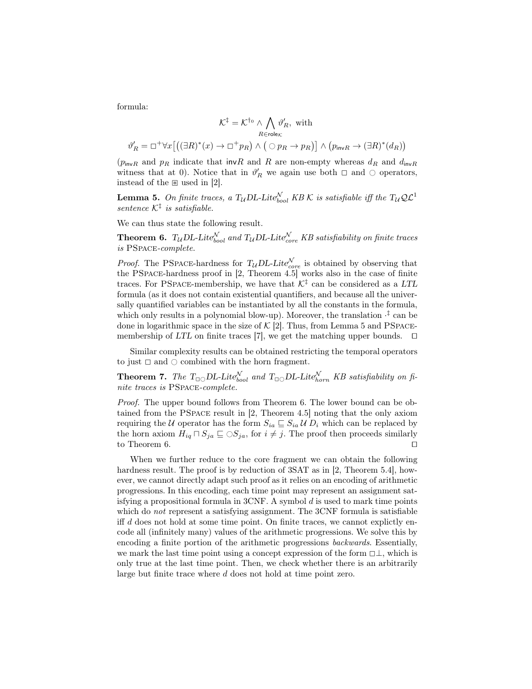formula:

$$
\mathcal{K}^{\ddagger} = \mathcal{K}^{\dagger_{0}} \wedge \bigwedge_{R \in \text{role}_{\mathcal{K}}} \vartheta_{R}', \text{ with}
$$

$$
\vartheta_{R}' = \Box^{+} \forall x \big[ \big( (\exists R)^{*}(x) \rightarrow \Box^{+} p_{R} \big) \wedge \big( \bigcirc p_{R} \rightarrow p_{R} \big) \big] \wedge \big( p_{\text{inv}}_{R} \rightarrow (\exists R)^{*}(d_{R}) \big)
$$

 $(p_{\text{inv}}R$  and  $p_R$  indicate that invR and R are non-empty whereas  $d_R$  and  $d_{\text{inv}}R$ witness that at 0). Notice that in  $\vartheta'_R$  we again use both  $\Box$  and  $\bigcirc$  operators, instead of the  $\mathbb B$  used in [2].

**Lemma 5.** On finite traces, a T<sub>U</sub>DL-Lite<sup>N</sup><sub>bool</sub> KB K is satisfiable iff the T<sub>U</sub>QL<sup>1</sup> sentence  $K^{\ddagger}$  is satisfiable.

We can thus state the following result.

**Theorem 6.**  $T_{\mathcal{U}}$  DL-Lite $_{bool}^{\mathcal{N}}$  and  $T_{\mathcal{U}}$  DL-Lite $_{core}^{\mathcal{N}}$  KB satisfiability on finite traces is PSpace-complete.

*Proof.* The PSPACE-hardness for  $T_{\mathcal{U}} D L$ -Lite<sub>core</sub> is obtained by observing that the PSpace-hardness proof in [2, Theorem 4.5] works also in the case of finite traces. For PSPACE-membership, we have that  $K^{\ddagger}$  can be considered as a LTL formula (as it does not contain existential quantifiers, and because all the universally quantified variables can be instantiated by all the constants in the formula, which only results in a polynomial blow-up). Moreover, the translation  $\cdot^{\ddagger}$  can be done in logarithmic space in the size of  $K$  [2]. Thus, from Lemma 5 and PSPACEmembership of LTL on finite traces [7], we get the matching upper bounds.  $\square$ 

Similar complexity results can be obtained restricting the temporal operators to just  $\Box$  and  $\Diamond$  combined with the horn fragment.

**Theorem 7.** The  $T_{\Box\bigcirc}DL\text{-}Lite_{bool}^{\mathcal{N}}$  and  $T_{\Box\bigcirc}DL\text{-}Lite_{horn}^{\mathcal{N}}$  KB satisfiability on finite traces is PSpace-complete.

Proof. The upper bound follows from Theorem 6. The lower bound can be obtained from the PSpace result in [2, Theorem 4.5] noting that the only axiom requiring the U operator has the form  $S_{ia} \subseteq S_{ia} \cup D_i$  which can be replaced by the horn axiom  $H_{iq} \sqcap S_{ja} \sqsubseteq \bigcirc S_{ja}$ , for  $i \neq j$ . The proof then proceeds similarly to Theorem 6. to Theorem  $6$ .

When we further reduce to the core fragment we can obtain the following hardness result. The proof is by reduction of  $3SAT$  as in [2, Theorem 5.4], however, we cannot directly adapt such proof as it relies on an encoding of arithmetic progressions. In this encoding, each time point may represent an assignment satisfying a propositional formula in  $3\text{CNF}$ . A symbol d is used to mark time points which do *not* represent a satisfying assignment. The 3CNF formula is satisfiable iff  $d$  does not hold at some time point. On finite traces, we cannot explictly encode all (infinitely many) values of the arithmetic progressions. We solve this by encoding a finite portion of the arithmetic progressions backwards. Essentially, we mark the last time point using a concept expression of the form  $\Box \bot$ , which is only true at the last time point. Then, we check whether there is an arbitrarily large but finite trace where d does not hold at time point zero.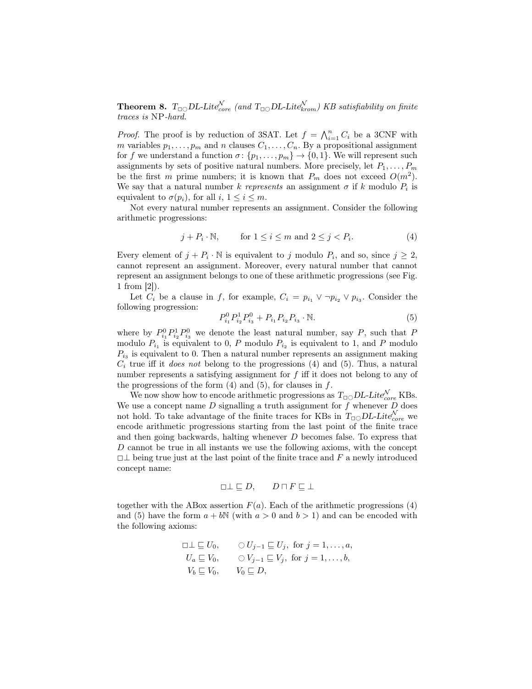**Theorem 8.**  $T_{\Box\bigcirc}DL\text{-}Lite_{core}^{\mathcal{N}}$  (and  $T_{\Box\bigcirc}DL\text{-}Lite_{krom}^{\mathcal{N}}$ ) KB satisfiability on finite traces is NP-hard.

*Proof.* The proof is by reduction of 3SAT. Let  $f = \bigwedge_{i=1}^{n} C_i$  be a 3CNF with m variables  $p_1, \ldots, p_m$  and n clauses  $C_1, \ldots, C_n$ . By a propositional assignment for f we understand a function  $\sigma: \{p_1, \ldots, p_m\} \to \{0, 1\}$ . We will represent such assignments by sets of positive natural numbers. More precisely, let  $P_1, \ldots, P_m$ be the first m prime numbers; it is known that  $P_m$  does not exceed  $O(m^2)$ . We say that a natural number k represents an assignment  $\sigma$  if k modulo  $P_i$  is equivalent to  $\sigma(p_i)$ , for all  $i, 1 \leq i \leq m$ .

Not every natural number represents an assignment. Consider the following arithmetic progressions:

$$
j + P_i \cdot \mathbb{N}, \qquad \text{for } 1 \le i \le m \text{ and } 2 \le j < P_i. \tag{4}
$$

Every element of  $j + P_i \cdot \mathbb{N}$  is equivalent to j modulo  $P_i$ , and so, since  $j \geq 2$ , cannot represent an assignment. Moreover, every natural number that cannot represent an assignment belongs to one of these arithmetic progressions (see Fig. 1 from [2]).

Let  $C_i$  be a clause in f, for example,  $C_i = p_{i_1} \vee \neg p_{i_2} \vee p_{i_3}$ . Consider the following progression:

$$
P_{i_1}^0 P_{i_2}^1 P_{i_3}^0 + P_{i_1} P_{i_2} P_{i_3} \cdot \mathbb{N}.\tag{5}
$$

where by  $P_{i_1}^0 P_{i_2}^1 P_{i_3}^0$  we denote the least natural number, say P, such that P modulo  $P_{i_1}$  is equivalent to 0, P modulo  $P_{i_2}$  is equivalent to 1, and P modulo  $P_{i_3}$  is equivalent to 0. Then a natural number represents an assignment making  $C_i$  true iff it *does not* belong to the progressions (4) and (5). Thus, a natural number represents a satisfying assignment for  $f$  iff it does not belong to any of the progressions of the form  $(4)$  and  $(5)$ , for clauses in f.

We now show how to encode arithmetic progressions as  $T_{\Box\bigcirc}DL\text{-}Lite_{core}^{\mathcal{N}}$  KBs. We use a concept name  $D$  signalling a truth assignment for  $f$  whenever  $D$  does not hold. To take advantage of the finite traces for KBs in  $T_{\Box\bigcirc}DL\text{-}Lite^{\mathcal{N}}_{core}$  we encode arithmetic progressions starting from the last point of the finite trace and then going backwards, halting whenever D becomes false. To express that D cannot be true in all instants we use the following axioms, with the concept  $\Box \bot$  being true just at the last point of the finite trace and F a newly introduced concept name:

$$
\Box \bot \sqsubseteq D, \qquad D \sqcap F \sqsubseteq \bot
$$

together with the ABox assertion  $F(a)$ . Each of the arithmetic progressions (4) and (5) have the form  $a + bN$  (with  $a > 0$  and  $b > 1$ ) and can be encoded with the following axioms:

$$
\Box \perp \sqsubseteq U_0, \qquad \bigcirc U_{j-1} \sqsubseteq U_j, \text{ for } j = 1, ..., a,
$$
  
\n
$$
U_a \sqsubseteq V_0, \qquad \bigcirc V_{j-1} \sqsubseteq V_j, \text{ for } j = 1, ..., b,
$$
  
\n
$$
V_b \sqsubseteq V_0, \qquad V_0 \sqsubseteq D,
$$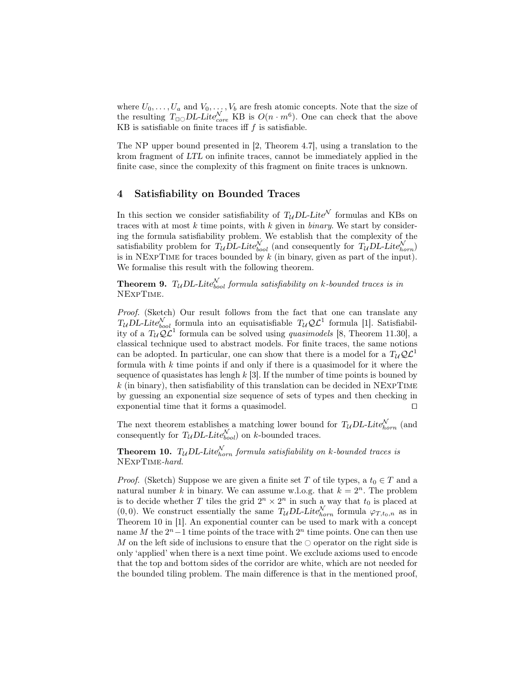where  $U_0, \ldots, U_a$  and  $V_0, \ldots, V_b$  are fresh atomic concepts. Note that the size of the resulting  $T_{\text{LO}}DL\text{Lite}_{core}^{\mathcal{N}}$  KB is  $O(n \cdot m^6)$ . One can check that the above KB is satisfiable on finite traces iff  $f$  is satisfiable.

The NP upper bound presented in [2, Theorem 4.7], using a translation to the krom fragment of LTL on infinite traces, cannot be immediately applied in the finite case, since the complexity of this fragment on finite traces is unknown.

### 4 Satisfiability on Bounded Traces

In this section we consider satisfiability of  $T_{\mathcal{U}} D L$ -Lite<sup>N</sup> formulas and KBs on traces with at most  $k$  time points, with  $k$  given in *binary*. We start by considering the formula satisfiability problem. We establish that the complexity of the satisfiability problem for  $T_{\mathcal{U}} D L$ -Lite $_{bool}^{\mathcal{N}}$  (and consequently for  $T_{\mathcal{U}} D L$ -Lite $_{horn}^{\mathcal{N}}$ ) is in NEXPTIME for traces bounded by  $k$  (in binary, given as part of the input). We formalise this result with the following theorem.

**Theorem 9.** T<sub>U</sub>DL-Lite $_{bool}^{\mathcal{N}}$  formula satisfiability on k-bounded traces is in NExpTime.

Proof. (Sketch) Our result follows from the fact that one can translate any  $T_{\mathcal{U}} D L$ -Lite $_{bool}^{\mathcal{N}}$  formula into an equisatisfiable  $T_{\mathcal{U}} Q \mathcal{L}^1$  formula [1]. Satisfiability of a  $T_{\mathcal{U}}\mathcal{Q}\mathcal{L}^1$  formula can be solved using *quasimodels* [8, Theorem 11.30], a classical technique used to abstract models. For finite traces, the same notions can be adopted. In particular, one can show that there is a model for a  $T_{14}Q\mathcal{L}^1$ formula with  $k$  time points if and only if there is a quasimodel for it where the sequence of quasistates has lengh  $k$  [3]. If the number of time points is bouned by  $k$  (in binary), then satisfiability of this translation can be decided in NEXPTIME by guessing an exponential size sequence of sets of types and then checking in exponential time that it forms a quasimodel.  $\Box$ 

The next theorem establishes a matching lower bound for  $T_{\mathcal{U}} D L$ -Lite $_{horn}^{\mathcal{N}}$  (and consequently for  $T_{\mathcal{U}} D L$ -Lite $_{bool}^{\mathcal{N}}$  on k-bounded traces.

**Theorem 10.** T<sub>U</sub>DL-Lite $_{horn}^{\mathcal{N}}$  formula satisfiability on k-bounded traces is NExpTime-hard.

*Proof.* (Sketch) Suppose we are given a finite set T of tile types, a  $t_0 \in T$  and a natural number k in binary. We can assume w.l.o.g. that  $k = 2<sup>n</sup>$ . The problem is to decide whether T tiles the grid  $2^n \times 2^n$  in such a way that  $t_0$  is placed at  $(0, 0)$ . We construct essentially the same  $T_{\mathcal{U}} D L$ -Lite $_{horn}^{\mathcal{N}}$  formula  $\varphi_{T,t_0,n}$  as in Theorem 10 in [1]. An exponential counter can be used to mark with a concept name M the  $2<sup>n</sup> - 1$  time points of the trace with  $2<sup>n</sup>$  time points. One can then use M on the left side of inclusions to ensure that the  $\circlearrowright$  operator on the right side is only 'applied' when there is a next time point. We exclude axioms used to encode that the top and bottom sides of the corridor are white, which are not needed for the bounded tiling problem. The main difference is that in the mentioned proof,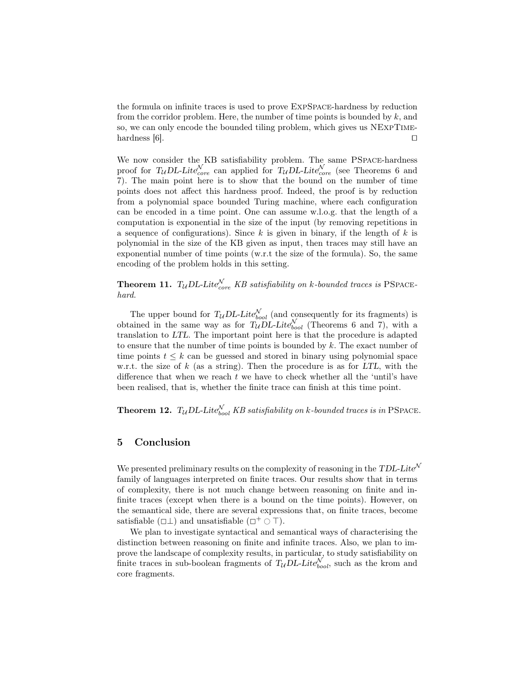the formula on infinite traces is used to prove ExpSpace-hardness by reduction from the corridor problem. Here, the number of time points is bounded by  $k$ , and so, we can only encode the bounded tiling problem, which gives us NExpTimehardness  $[6]$ .

We now consider the KB satisfiability problem. The same PSpace-hardness proof for  $T_{\mathcal{U}}$ DL-Lite $_{core}^{\mathcal{N}}$  can applied for  $T_{\mathcal{U}}$ DL-Lite $_{core}^{\mathcal{N}}$  (see Theorems 6 and 7). The main point here is to show that the bound on the number of time points does not affect this hardness proof. Indeed, the proof is by reduction from a polynomial space bounded Turing machine, where each configuration can be encoded in a time point. One can assume w.l.o.g. that the length of a computation is exponential in the size of the input (by removing repetitions in a sequence of configurations). Since  $k$  is given in binary, if the length of  $k$  is polynomial in the size of the KB given as input, then traces may still have an exponential number of time points (w.r.t the size of the formula). So, the same encoding of the problem holds in this setting.

**Theorem 11.**  $T_{\mathcal{U}}$  *DL-Lite* $_{core}^{\mathcal{N}}$  *KB satisfiability on k-bounded traces is* PSPACEhard.

The upper bound for  $T_{\mathcal{U}} D L$ -Lite $_{bool}^{\mathcal{N}}$  (and consequently for its fragments) is obtained in the same way as for  $T_u \overline{DL}$ -Lite $_{bool}^{\mathcal{N}}$  (Theorems 6 and 7), with a translation to LTL. The important point here is that the procedure is adapted to ensure that the number of time points is bounded by  $k$ . The exact number of time points  $t \leq k$  can be guessed and stored in binary using polynomial space w.r.t. the size of k (as a string). Then the procedure is as for  $LTL$ , with the difference that when we reach  $t$  we have to check whether all the 'until's have been realised, that is, whether the finite trace can finish at this time point.

**Theorem 12.**  $T_{\mathcal{U}}$  DL-Lite $_{bool}^{\mathcal{N}}$  KB satisfiability on k-bounded traces is in PSPACE.

#### 5 Conclusion

We presented preliminary results on the complexity of reasoning in the  $TDL\text{-}Life^{\mathcal{N}}$ family of languages interpreted on finite traces. Our results show that in terms of complexity, there is not much change between reasoning on finite and infinite traces (except when there is a bound on the time points). However, on the semantical side, there are several expressions that, on finite traces, become satisfiable  $(\Box \bot)$  and unsatisfiable  $(\Box^+ \bigcirc \top)$ .

We plan to investigate syntactical and semantical ways of characterising the distinction between reasoning on finite and infinite traces. Also, we plan to improve the landscape of complexity results, in particular, to study satisfiability on finite traces in sub-boolean fragments of  $T_{\mathcal{U}} D L$ -Lite $_{bool}^{\mathcal{N}}$ , such as the krom and core fragments.